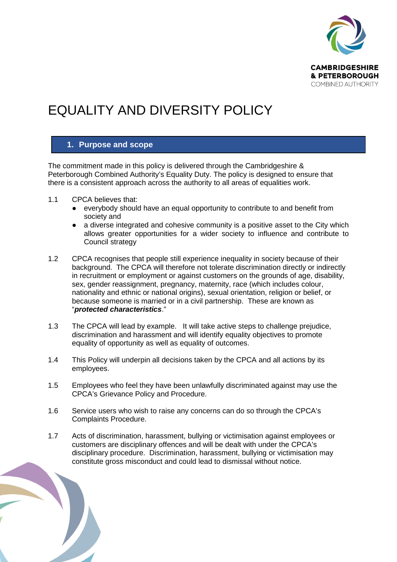

# EQUALITY AND DIVERSITY POLICY

## **1. Purpose and scope**

The commitment made in this policy is delivered through the Cambridgeshire & Peterborough Combined Authority's Equality Duty. The policy is designed to ensure that there is a consistent approach across the authority to all areas of equalities work.

- 1.1 CPCA believes that:
	- everybody should have an equal opportunity to contribute to and benefit from society and
	- a diverse integrated and cohesive community is a positive asset to the City which allows greater opportunities for a wider society to influence and contribute to Council strategy
- 1.2 CPCA recognises that people still experience inequality in society because of their background. The CPCA will therefore not tolerate discrimination directly or indirectly in recruitment or employment or against customers on the grounds of age, disability, sex, gender reassignment, pregnancy, maternity, race (which includes colour, nationality and ethnic or national origins), sexual orientation, religion or belief, or because someone is married or in a civil partnership. These are known as "*protected characteristics*."
- 1.3 The CPCA will lead by example. It will take active steps to challenge prejudice, discrimination and harassment and will identify equality objectives to promote equality of opportunity as well as equality of outcomes.
- 1.4 This Policy will underpin all decisions taken by the CPCA and all actions by its employees.
- 1.5 Employees who feel they have been unlawfully discriminated against may use the CPCA's Grievance Policy and Procedure.
- 1.6 Service users who wish to raise any concerns can do so through the CPCA's Complaints Procedure.
- 1.7 Acts of discrimination, harassment, bullying or victimisation against employees or customers are disciplinary offences and will be dealt with under the CPCA's disciplinary procedure. Discrimination, harassment, bullying or victimisation may constitute gross misconduct and could lead to dismissal without notice.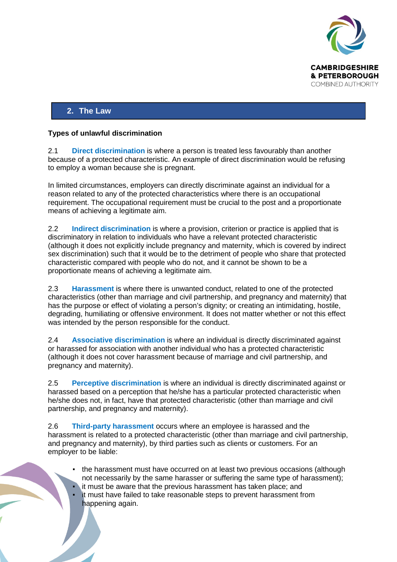

# **2. The Law**

#### **Types of unlawful discrimination**

2.1 **Direct discrimination** is where a person is treated less favourably than another because of a protected characteristic. An example of direct discrimination would be refusing to employ a woman because she is pregnant.

In limited circumstances, employers can directly discriminate against an individual for a reason related to any of the protected characteristics where there is an occupational requirement. The occupational requirement must be crucial to the post and a proportionate means of achieving a legitimate aim.

2.2 **Indirect discrimination** is where a provision, criterion or practice is applied that is discriminatory in relation to individuals who have a relevant protected characteristic (although it does not explicitly include pregnancy and maternity, which is covered by indirect sex discrimination) such that it would be to the detriment of people who share that protected characteristic compared with people who do not, and it cannot be shown to be a proportionate means of achieving a legitimate aim.

2.3 **Harassment** is where there is unwanted conduct, related to one of the protected characteristics (other than marriage and civil partnership, and pregnancy and maternity) that has the purpose or effect of violating a person's dignity; or creating an intimidating, hostile, degrading, humiliating or offensive environment. It does not matter whether or not this effect was intended by the person responsible for the conduct.

2.4 **Associative discrimination** is where an individual is directly discriminated against or harassed for association with another individual who has a protected characteristic (although it does not cover harassment because of marriage and civil partnership, and pregnancy and maternity).

2.5 **Perceptive discrimination** is where an individual is directly discriminated against or harassed based on a perception that he/she has a particular protected characteristic when he/she does not, in fact, have that protected characteristic (other than marriage and civil partnership, and pregnancy and maternity).

2.6 **Third-party harassment** occurs where an employee is harassed and the harassment is related to a protected characteristic (other than marriage and civil partnership, and pregnancy and maternity), by third parties such as clients or customers. For an employer to be liable:

- the harassment must have occurred on at least two previous occasions (although not necessarily by the same harasser or suffering the same type of harassment); it must be aware that the previous harassment has taken place; and
- it must have failed to take reasonable steps to prevent harassment from happening again.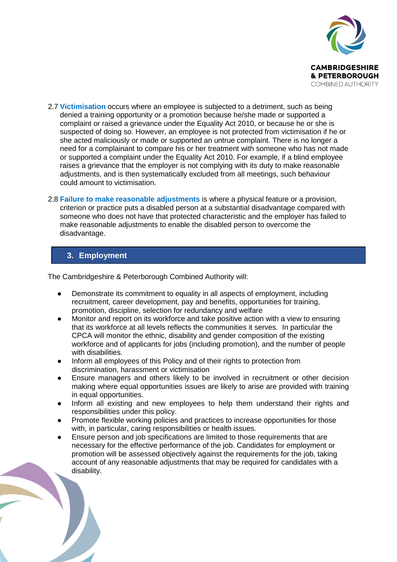

- 2.7 **Victimisation** occurs where an employee is subjected to a detriment, such as being denied a training opportunity or a promotion because he/she made or supported a complaint or raised a grievance under the Equality Act 2010, or because he or she is suspected of doing so. However, an employee is not protected from victimisation if he or she acted maliciously or made or supported an untrue complaint. There is no longer a need for a complainant to compare his or her treatment with someone who has not made or supported a complaint under the Equality Act 2010. For example, if a blind employee raises a grievance that the employer is not complying with its duty to make reasonable adjustments, and is then systematically excluded from all meetings, such behaviour could amount to victimisation.
- 2.8 **Failure to make reasonable adjustments** is where a physical feature or a provision, criterion or practice puts a disabled person at a substantial disadvantage compared with someone who does not have that protected characteristic and the employer has failed to make reasonable adjustments to enable the disabled person to overcome the disadvantage.

# **3. Employment**

The Cambridgeshire & Peterborough Combined Authority will:

- Demonstrate its commitment to equality in all aspects of employment, including recruitment, career development, pay and benefits, opportunities for training, promotion, discipline, selection for redundancy and welfare
- Monitor and report on its workforce and take positive action with a view to ensuring that its workforce at all levels reflects the communities it serves. In particular the CPCA will monitor the ethnic, disability and gender composition of the existing workforce and of applicants for jobs (including promotion), and the number of people with disabilities.
- Inform all employees of this Policy and of their rights to protection from discrimination, harassment or victimisation
- Ensure managers and others likely to be involved in recruitment or other decision making where equal opportunities issues are likely to arise are provided with training in equal opportunities.
- Inform all existing and new employees to help them understand their rights and responsibilities under this policy.
- Promote flexible working policies and practices to increase opportunities for those with, in particular, caring responsibilities or health issues.
- Ensure person and job specifications are limited to those requirements that are necessary for the effective performance of the job. Candidates for employment or promotion will be assessed objectively against the requirements for the job, taking account of any reasonable adjustments that may be required for candidates with a disability.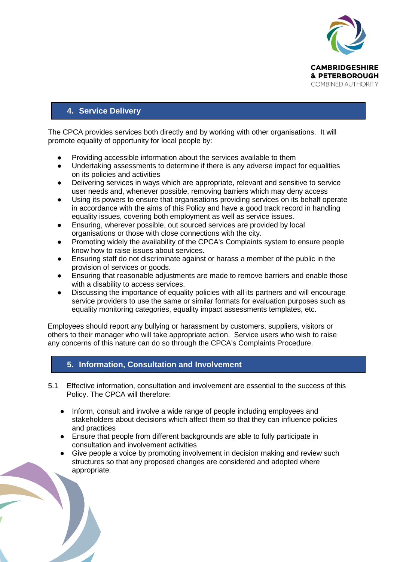

# **4. Service Delivery**

The CPCA provides services both directly and by working with other organisations. It will promote equality of opportunity for local people by:

- Providing accessible information about the services available to them
- Undertaking assessments to determine if there is any adverse impact for equalities on its policies and activities
- Delivering services in ways which are appropriate, relevant and sensitive to service user needs and, whenever possible, removing barriers which may deny access
- Using its powers to ensure that organisations providing services on its behalf operate in accordance with the aims of this Policy and have a good track record in handling equality issues, covering both employment as well as service issues.
- Ensuring, wherever possible, out sourced services are provided by local organisations or those with close connections with the city.
- Promoting widely the availability of the CPCA's Complaints system to ensure people know how to raise issues about services.
- Ensuring staff do not discriminate against or harass a member of the public in the provision of services or goods.
- Ensuring that reasonable adjustments are made to remove barriers and enable those with a disability to access services.
- Discussing the importance of equality policies with all its partners and will encourage service providers to use the same or similar formats for evaluation purposes such as equality monitoring categories, equality impact assessments templates, etc.

Employees should report any bullying or harassment by customers, suppliers, visitors or others to their manager who will take appropriate action. Service users who wish to raise any concerns of this nature can do so through the CPCA's Complaints Procedure.

# **5. Information, Consultation and Involvement**

- 5.1 Effective information, consultation and involvement are essential to the success of this Policy. The CPCA will therefore:
	- Inform, consult and involve a wide range of people including employees and stakeholders about decisions which affect them so that they can influence policies and practices
	- Ensure that people from different backgrounds are able to fully participate in consultation and involvement activities
	- Give people a voice by promoting involvement in decision making and review such structures so that any proposed changes are considered and adopted where appropriate.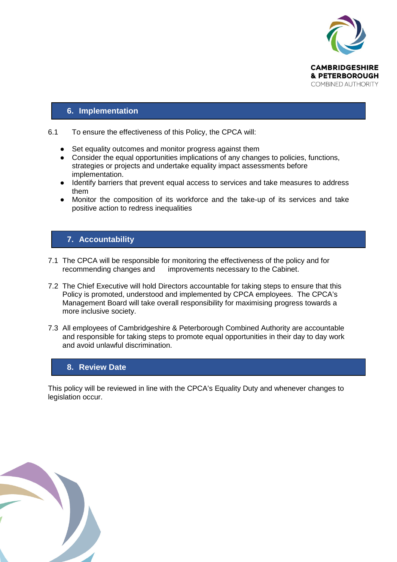

## **6. Implementation**

#### 6.1 To ensure the effectiveness of this Policy, the CPCA will:

- Set equality outcomes and monitor progress against them
- Consider the equal opportunities implications of any changes to policies, functions, strategies or projects and undertake equality impact assessments before implementation.
- Identify barriers that prevent equal access to services and take measures to address them
- Monitor the composition of its workforce and the take-up of its services and take positive action to redress inequalities

# **7. Accountability**

- 7.1 The CPCA will be responsible for monitoring the effectiveness of the policy and for recommending changes and improvements necessary to the Cabinet.
- 7.2 The Chief Executive will hold Directors accountable for taking steps to ensure that this Policy is promoted, understood and implemented by CPCA employees. The CPCA's Management Board will take overall responsibility for maximising progress towards a more inclusive society.
- 7.3 All employees of Cambridgeshire & Peterborough Combined Authority are accountable and responsible for taking steps to promote equal opportunities in their day to day work and avoid unlawful discrimination.

## **8. Review Date**

This policy will be reviewed in line with the CPCA's Equality Duty and whenever changes to legislation occur.

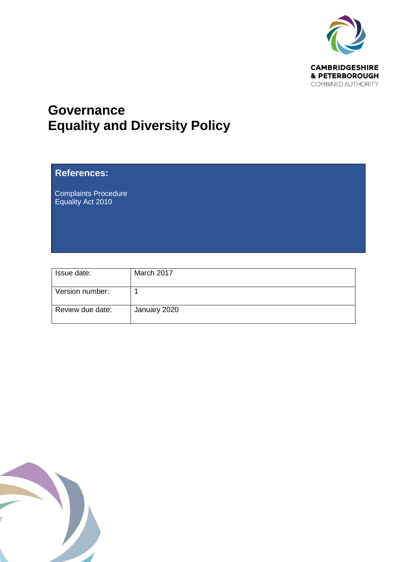

# **Governance Equality and Diversity Policy**

# **References:**

Complaints Procedure Equality Act 2010

| Issue date:      | March 2017   |
|------------------|--------------|
| Version number:  |              |
| Review due date: | January 2020 |